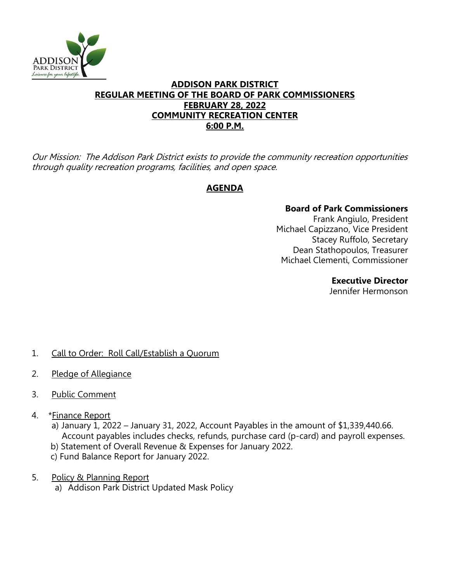

## **ADDISON PARK DISTRICT REGULAR MEETING OF THE BOARD OF PARK COMMISSIONERS FEBRUARY 28, 2022 COMMUNITY RECREATION CENTER 6:00 P.M.**

Our Mission: The Addison Park District exists to provide the community recreation opportunities through quality recreation programs, facilities, and open space.

# **AGENDA**

## **Board of Park Commissioners**

Frank Angiulo, President Michael Capizzano, Vice President Stacey Ruffolo, Secretary Dean Stathopoulos, Treasurer Michael Clementi, Commissioner

#### **Executive Director**

Jennifer Hermonson

- 1. Call to Order: Roll Call/Establish a Quorum
- 2. Pledge of Allegiance
- 3. Public Comment
- 4. \*Finance Report
	- a) January 1, 2022 January 31, 2022, Account Payables in the amount of \$1,339,440.66. Account payables includes checks, refunds, purchase card (p-card) and payroll expenses. b) Statement of Overall Revenue & Expenses for January 2022.
	- c) Fund Balance Report for January 2022.
- 5. Policy & Planning Report
	- a) Addison Park District Updated Mask Policy